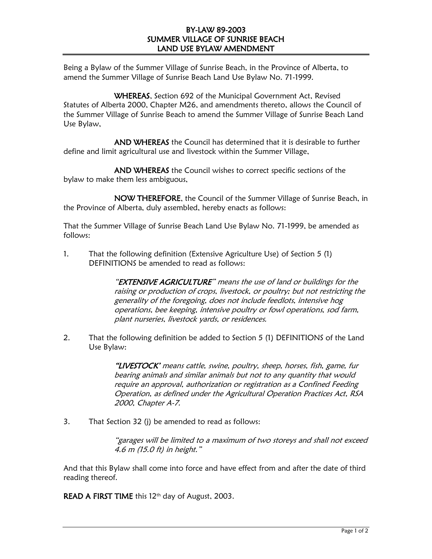## BY-LAW 89-2003 SUMMER VILLAGE OF SUNRISE BEACH LAND USE BYLAW AMENDMENT

Being a Bylaw of the Summer Village of Sunrise Beach, in the Province of Alberta, to amend the Summer Village of Sunrise Beach Land Use Bylaw No. 71-1999.

WHEREAS, Section 692 of the Municipal Government Act, Revised Statutes of Alberta 2000, Chapter M26, and amendments thereto, allows the Council of the Summer Village of Sunrise Beach to amend the Summer Village of Sunrise Beach Land Use Bylaw,

AND WHEREAS the Council has determined that it is desirable to further define and limit agricultural use and livestock within the Summer Village,

AND WHEREAS the Council wishes to correct specific sections of the bylaw to make them less ambiguous,

NOW THEREFORE, the Council of the Summer Village of Sunrise Beach, in the Province of Alberta, duly assembled, hereby enacts as follows:

That the Summer Village of Sunrise Beach Land Use Bylaw No. 71-1999, be amended as follows:

1. That the following definition (Extensive Agriculture Use) of Section 5 (1) DEFINITIONS be amended to read as follows:

> "EXTENSIVE AGRICULTURE" means the use of land or buildings for the raising or production of crops, livestock, or poultry; but not restricting the generality of the foregoing, does not include feedlots, intensive hog operations, bee keeping, intensive poultry or fowl operations, sod farm, plant nurseries, livestock yards, or residences.

2. That the following definition be added to Section 5 (1) DEFINITIONS of the Land Use Bylaw:

> "LIVESTOCK' means cattle, swine, poultry, sheep, horses, fish, game, fur bearing animals and similar animals but not to any quantity that would require an approval, authorization or registration as a Confined Feeding Operation, as defined under the Agricultural Operation Practices Act, RSA 2000, Chapter A-7.

3. That Section 32 (j) be amended to read as follows:

"garages will be limited to a maximum of two storeys and shall not exceed 4.6 m (15.0 ft) in height."

And that this Bylaw shall come into force and have effect from and after the date of third reading thereof.

READ A FIRST TIME this 12<sup>th</sup> day of August, 2003.